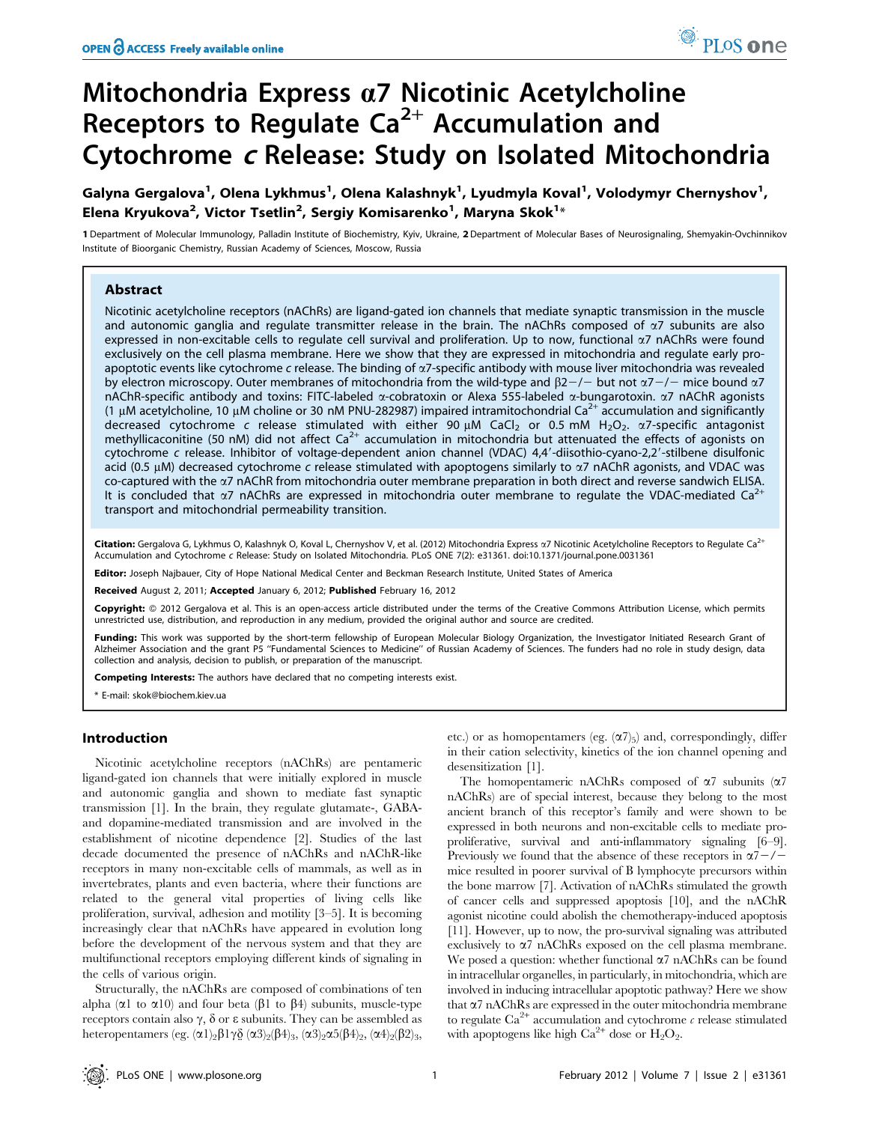# Mitochondria Express  $\alpha$ 7 Nicotinic Acetylcholine Receptors to Regulate  $Ca<sup>2+</sup>$  Accumulation and Cytochrome <sup>c</sup> Release: Study on Isolated Mitochondria

Galyna Gergalova<sup>1</sup>, Olena Lykhmus<sup>1</sup>, Olena Kalashnyk<sup>1</sup>, Lyudmyla Koval<sup>1</sup>, Volodymyr Chernyshov<sup>1</sup>, Elena Kryukova $^2$ , Victor Tsetlin $^2$ , Sergiy Komisarenko $^1$ , Maryna Skok $^{1_\star}$ 

1 Department of Molecular Immunology, Palladin Institute of Biochemistry, Kyiv, Ukraine, 2 Department of Molecular Bases of Neurosignaling, Shemyakin-Ovchinnikov Institute of Bioorganic Chemistry, Russian Academy of Sciences, Moscow, Russia

# Abstract

Nicotinic acetylcholine receptors (nAChRs) are ligand-gated ion channels that mediate synaptic transmission in the muscle and autonomic ganglia and regulate transmitter release in the brain. The nAChRs composed of  $\alpha$ 7 subunits are also expressed in non-excitable cells to regulate cell survival and proliferation. Up to now, functional  $\alpha$ 7 nAChRs were found exclusively on the cell plasma membrane. Here we show that they are expressed in mitochondria and regulate early proapoptotic events like cytochrome c release. The binding of  $\alpha$ 7-specific antibody with mouse liver mitochondria was revealed by electron microscopy. Outer membranes of mitochondria from the wild-type and  $\beta$ 2-/- but not  $\alpha$ 7-/- mice bound  $\alpha$ 7 nAChR-specific antibody and toxins: FITC-labeled  $\alpha$ -cobratoxin or Alexa 555-labeled  $\alpha$ -bungarotoxin.  $\alpha$ 7 nAChR agonists (1  $\mu$ M acetylcholine, 10  $\mu$ M choline or 30 nM PNU-282987) impaired intramitochondrial Ca<sup>2+</sup> accumulation and significantly decreased cytochrome c release stimulated with either 90  $\mu$ M CaCl<sub>2</sub> or 0.5 mM H<sub>2</sub>O<sub>2</sub>. a7-specific antagonist methyllicaconitine (50 nM) did not affect  $Ca^{2+}$  accumulation in mitochondria but attenuated the effects of agonists on cytochrome c release. Inhibitor of voltage-dependent anion channel (VDAC) 4,4'-diisothio-cyano-2,2'-stilbene disulfonic acid (0.5  $\mu$ M) decreased cytochrome c release stimulated with apoptogens similarly to  $\alpha$ 7 nAChR agonists, and VDAC was co-captured with the a7 nAChR from mitochondria outer membrane preparation in both direct and reverse sandwich ELISA. It is concluded that  $\alpha$ 7 nAChRs are expressed in mitochondria outer membrane to regulate the VDAC-mediated Ca<sup>2+</sup> transport and mitochondrial permeability transition.

Citation: Gergalova G, Lykhmus O, Kalashnyk O, Koval L, Chernyshov V, et al. (2012) Mitochondria Express  $\alpha$ 7 Nicotinic Acetylcholine Receptors to Regulate Ca<sup>2+</sup> Accumulation and Cytochrome c Release: Study on Isolated Mitochondria. PLoS ONE 7(2): e31361. doi:10.1371/journal.pone.0031361

Editor: Joseph Najbauer, City of Hope National Medical Center and Beckman Research Institute, United States of America

Received August 2, 2011; Accepted January 6, 2012; Published February 16, 2012

**Copyright:** © 2012 Gergalova et al. This is an open-access article distributed under the terms of the Creative Commons Attribution License, which permits unrestricted use, distribution, and reproduction in any medium, provided the original author and source are credited.

**Funding:** This work was supported by the short-term fellowship of European Molecular Biology Organization, the Investigator Initiated Research Grant of<br>Alzheimer Association and the grant P5 "Fundamental Sciences to Medic collection and analysis, decision to publish, or preparation of the manuscript.

Competing Interests: The authors have declared that no competing interests exist.

\* E-mail: skok@biochem.kiev.ua

# Introduction

Nicotinic acetylcholine receptors (nAChRs) are pentameric ligand-gated ion channels that were initially explored in muscle and autonomic ganglia and shown to mediate fast synaptic transmission [1]. In the brain, they regulate glutamate-, GABAand dopamine-mediated transmission and are involved in the establishment of nicotine dependence [2]. Studies of the last decade documented the presence of nAChRs and nAChR-like receptors in many non-excitable cells of mammals, as well as in invertebrates, plants and even bacteria, where their functions are related to the general vital properties of living cells like proliferation, survival, adhesion and motility [3–5]. It is becoming increasingly clear that nAChRs have appeared in evolution long before the development of the nervous system and that they are multifunctional receptors employing different kinds of signaling in the cells of various origin.

Structurally, the nAChRs are composed of combinations of ten alpha ( $\alpha$ 1 to  $\alpha$ 10) and four beta ( $\beta$ 1 to  $\beta$ 4) subunits, muscle-type receptors contain also  $\gamma$ ,  $\delta$  or  $\varepsilon$  subunits. They can be assembled as heteropentamers (eg.  $(\alpha 1)_2 \beta 1 \gamma \delta$   $(\alpha 3)_2 (\beta 4)_3$ ,  $(\alpha 3)_2 \alpha 5 (\beta 4)_2$ ,  $(\alpha 4)_2 (\beta 2)_3$ ,

etc.) or as homopentamers (eg.  $(\alpha 7)_5$ ) and, correspondingly, differ in their cation selectivity, kinetics of the ion channel opening and desensitization [1].

The homopentameric nAChRs composed of  $\alpha$ 7 subunits ( $\alpha$ 7 nAChRs) are of special interest, because they belong to the most ancient branch of this receptor's family and were shown to be expressed in both neurons and non-excitable cells to mediate proproliferative, survival and anti-inflammatory signaling [6–9]. Previously we found that the absence of these receptors in  $\alpha$ 7-/mice resulted in poorer survival of B lymphocyte precursors within the bone marrow [7]. Activation of nAChRs stimulated the growth of cancer cells and suppressed apoptosis [10], and the nAChR agonist nicotine could abolish the chemotherapy-induced apoptosis [11]. However, up to now, the pro-survival signaling was attributed exclusively to  $\alpha$ 7 nAChRs exposed on the cell plasma membrane. We posed a question: whether functional  $\alpha$ 7 nAChRs can be found in intracellular organelles, in particularly, in mitochondria, which are involved in inducing intracellular apoptotic pathway? Here we show that  $\alpha$ 7 nAChRs are expressed in the outer mitochondria membrane to regulate  $Ca^{2+}$  accumulation and cytochrome  $\epsilon$  release stimulated with apoptogens like high  $Ca^{2+}$  dose or  $H_2O_2$ .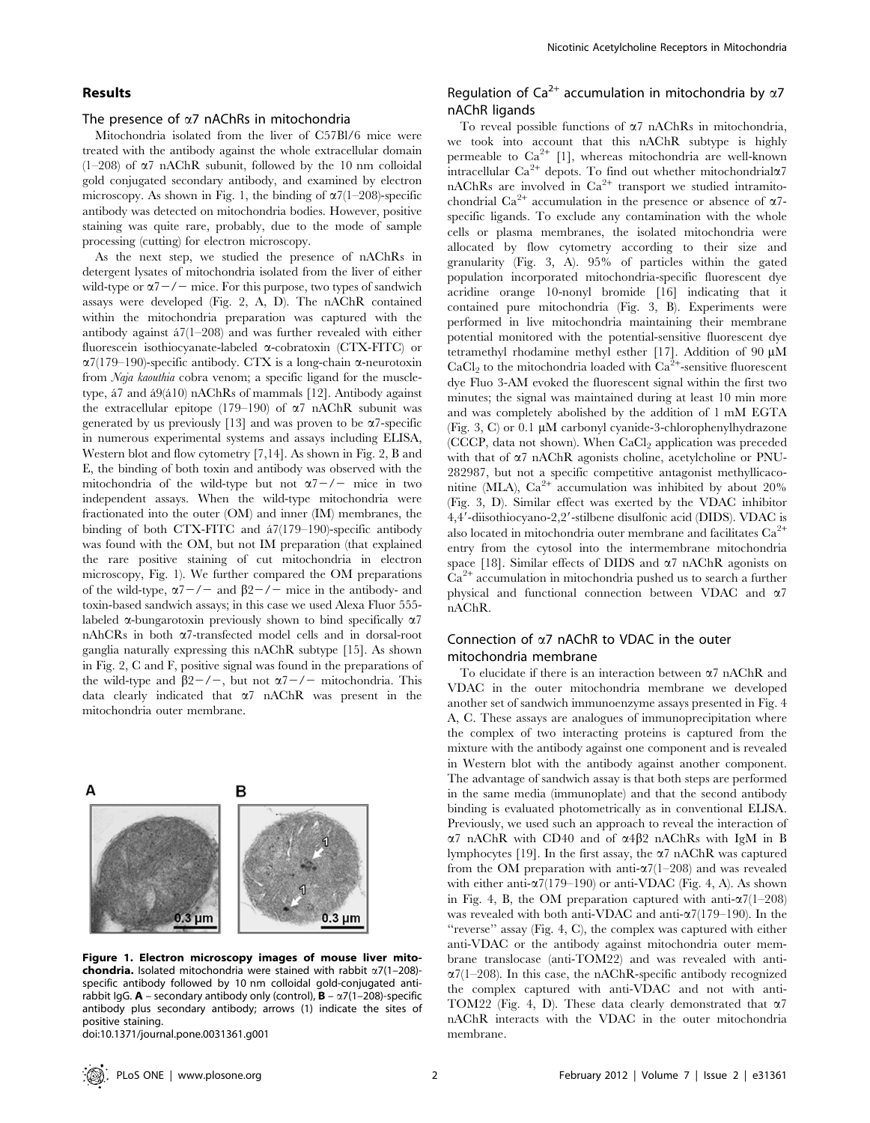# Results

#### The presence of  $\alpha$ 7 nAChRs in mitochondria

Mitochondria isolated from the liver of C57Bl/6 mice were treated with the antibody against the whole extracellular domain  $(1–208)$  of  $\alpha$ 7 nAChR subunit, followed by the 10 nm colloidal gold conjugated secondary antibody, and examined by electron microscopy. As shown in Fig. 1, the binding of  $\alpha$ 7(1–208)-specific antibody was detected on mitochondria bodies. However, positive staining was quite rare, probably, due to the mode of sample processing (cutting) for electron microscopy.

As the next step, we studied the presence of nAChRs in detergent lysates of mitochondria isolated from the liver of either wild-type or  $\alpha$ 7 – / – mice. For this purpose, two types of sandwich assays were developed (Fig. 2, A, D). The nAChR contained within the mitochondria preparation was captured with the antibody against  $\frac{47(1-208)}{200}$  and was further revealed with either fluorescein isothiocyanate-labeled a-cobratoxin (CTX-FITC) or  $\alpha$ 7(179–190)-specific antibody. CTX is a long-chain  $\alpha$ -neurotoxin from Naja kaouthia cobra venom; a specific ligand for the muscletype,  $\acute{a}7$  and  $\acute{a}9(\acute{a}10)$  nAChRs of mammals [12]. Antibody against the extracellular epitope (179–190) of  $\alpha$ 7 nAChR subunit was generated by us previously [13] and was proven to be  $\alpha$ 7-specific in numerous experimental systems and assays including ELISA, Western blot and flow cytometry [7,14]. As shown in Fig. 2, B and E, the binding of both toxin and antibody was observed with the mitochondria of the wild-type but not  $\alpha$ 7-/- mice in two independent assays. When the wild-type mitochondria were fractionated into the outer (OM) and inner (IM) membranes, the binding of both CTX-FITC and  $\frac{47(179-190)}{2}$ -specific antibody was found with the OM, but not IM preparation (that explained the rare positive staining of cut mitochondria in electron microscopy, Fig. 1). We further compared the OM preparations of the wild-type,  $\alpha$ 7-/- and  $\beta$ 2-/- mice in the antibody- and toxin-based sandwich assays; in this case we used Alexa Fluor 555 labeled  $\alpha$ -bungarotoxin previously shown to bind specifically  $\alpha$ 7 nAhCRs in both a7-transfected model cells and in dorsal-root ganglia naturally expressing this nAChR subtype [15]. As shown in Fig. 2, C and F, positive signal was found in the preparations of the wild-type and  $\beta$ 2-/-, but not  $\alpha$ 7-/- mitochondria. This data clearly indicated that  $\alpha$ 7 nAChR was present in the mitochondria outer membrane.



Figure 1. Electron microscopy images of mouse liver mito**chondria.** Isolated mitochondria were stained with rabbit  $\alpha$ 7(1–208)specific antibody followed by 10 nm colloidal gold-conjugated antirabbit IgG.  $A$  – secondary antibody only (control),  $B - \alpha$ 7(1–208)-specific antibody plus secondary antibody; arrows (1) indicate the sites of positive staining.

doi:10.1371/journal.pone.0031361.g001

# Regulation of Ca<sup>2+</sup> accumulation in mitochondria by  $\alpha$ 7 nAChR ligands

To reveal possible functions of  $\alpha$ 7 nAChRs in mitochondria, we took into account that this nAChR subtype is highly permeable to  $Ca^{2+}$  [1], whereas mitochondria are well-known intracellular  $\text{Ca}^{2+}$  depots. To find out whether mitochondrial $\alpha$ 7 nAChRs are involved in  $Ca^{2+}$  transport we studied intramitochondrial Ca<sup>2+</sup> accumulation in the presence or absence of  $\alpha$ 7specific ligands. To exclude any contamination with the whole cells or plasma membranes, the isolated mitochondria were allocated by flow cytometry according to their size and granularity (Fig. 3, A). 95% of particles within the gated population incorporated mitochondria-specific fluorescent dye acridine orange 10-nonyl bromide [16] indicating that it contained pure mitochondria (Fig. 3, B). Experiments were performed in live mitochondria maintaining their membrane potential monitored with the potential-sensitive fluorescent dye tetramethyl rhodamine methyl esther [17]. Addition of 90  $\mu$ M CaCl<sub>2</sub> to the mitochondria loaded with  $Ca^{2+}$ -sensitive fluorescent dye Fluo 3-AM evoked the fluorescent signal within the first two minutes; the signal was maintained during at least 10 min more and was completely abolished by the addition of 1 mM EGTA (Fig. 3, C) or 0.1  $\mu$ M carbonyl cyanide-3-chlorophenylhydrazone (CCCP, data not shown). When  $CaCl<sub>2</sub>$  application was preceded with that of  $\alpha$ 7 nAChR agonists choline, acetylcholine or PNU-282987, but not a specific competitive antagonist methyllicaconitine (MLA), Ca<sup>2+</sup> accumulation was inhibited by about 20% (Fig. 3, D). Similar effect was exerted by the VDAC inhibitor 4,4'-diisothiocyano-2,2'-stilbene disulfonic acid (DIDS). VDAC is also located in mitochondria outer membrane and facilitates  $Ca^{2+}$ entry from the cytosol into the intermembrane mitochondria space [18]. Similar effects of DIDS and  $\alpha$ 7 nAChR agonists on  $Ca<sup>2+</sup>$  accumulation in mitochondria pushed us to search a further physical and functional connection between VDAC and a7 nAChR.

# Connection of a7 nAChR to VDAC in the outer mitochondria membrane

To elucidate if there is an interaction between a7 nAChR and VDAC in the outer mitochondria membrane we developed another set of sandwich immunoenzyme assays presented in Fig. 4 A, C. These assays are analogues of immunoprecipitation where the complex of two interacting proteins is captured from the mixture with the antibody against one component and is revealed in Western blot with the antibody against another component. The advantage of sandwich assay is that both steps are performed in the same media (immunoplate) and that the second antibody binding is evaluated photometrically as in conventional ELISA. Previously, we used such an approach to reveal the interaction of  $\alpha$ 7 nAChR with CD40 and of  $\alpha$ 4 $\beta$ 2 nAChRs with IgM in B lymphocytes [19]. In the first assay, the  $\alpha$ 7 nAChR was captured from the OM preparation with anti- $\alpha$ 7(1–208) and was revealed with either anti- $\alpha$ 7(179–190) or anti-VDAC (Fig. 4, A). As shown in Fig. 4, B, the OM preparation captured with anti- $\alpha$ 7(1–208) was revealed with both anti-VDAC and anti- $\alpha$ 7(179–190). In the "reverse" assay (Fig. 4, C), the complex was captured with either anti-VDAC or the antibody against mitochondria outer membrane translocase (anti-TOM22) and was revealed with anti- $\alpha$ 7(1–208). In this case, the nAChR-specific antibody recognized the complex captured with anti-VDAC and not with anti-TOM22 (Fig. 4, D). These data clearly demonstrated that  $\alpha$ 7 nAChR interacts with the VDAC in the outer mitochondria membrane.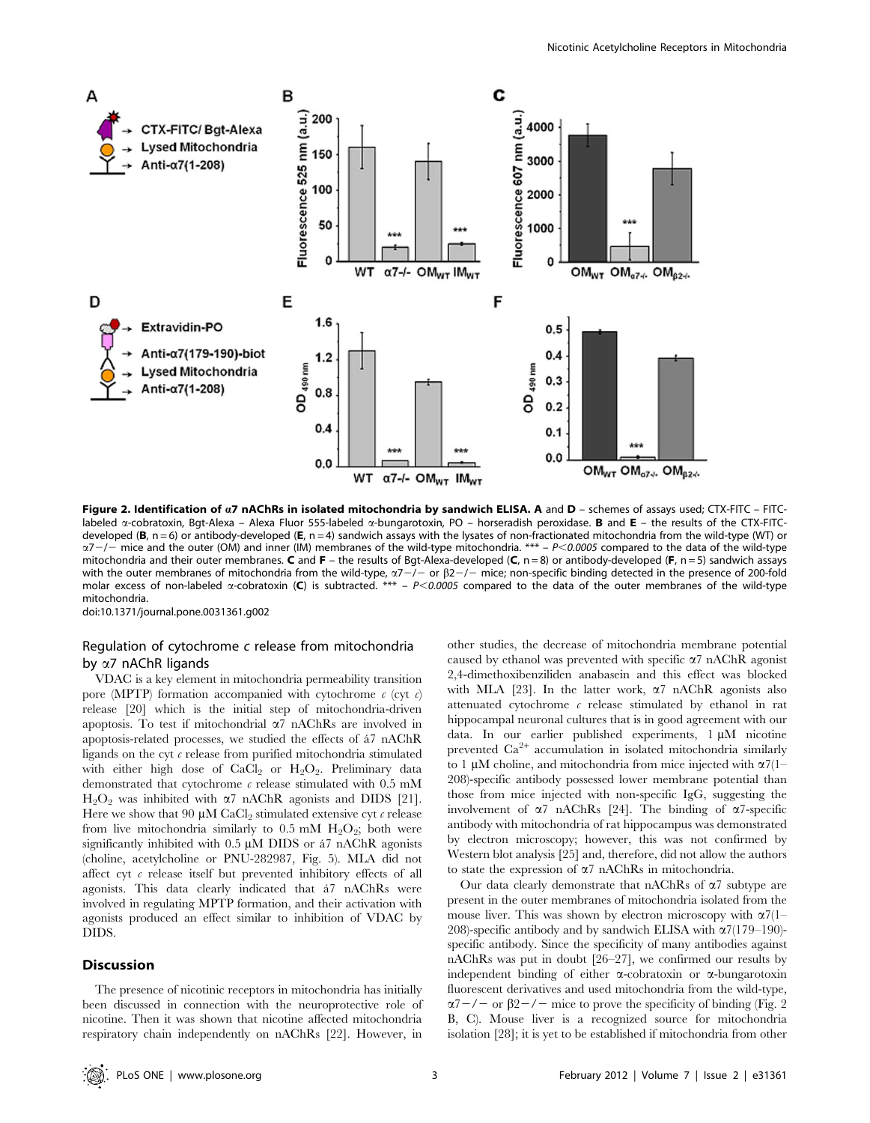

Figure 2. Identification of a7 nAChRs in isolated mitochondria by sandwich ELISA. A and D - schemes of assays used; CTX-FITC - FITClabeled  $\alpha$ -cobratoxin, Bgt-Alexa – Alexa Fluor 555-labeled  $\alpha$ -bungarotoxin, PO – horseradish peroxidase. **B** and **E** – the results of the CTX-FITCdeveloped (B, n = 6) or antibody-developed (E, n = 4) sandwich assays with the lysates of non-fractionated mitochondria from the wild-type (WT) or  $\alpha$ 7-/- mice and the outer (OM) and inner (IM) membranes of the wild-type mitochondria. \*\*\* – P<0.0005 compared to the data of the wild-type mitochondria and their outer membranes. C and F – the results of Bgt-Alexa-developed (C, n = 8) or antibody-developed (F, n = 5) sandwich assays with the outer membranes of mitochondria from the wild-type,  $\alpha$ 7-/- or  $\beta$ 2-/- mice; non-specific binding detected in the presence of 200-fold molar excess of non-labeled  $\alpha$ -cobratoxin (C) is subtracted. \*\*\* – P<0.0005 compared to the data of the outer membranes of the wild-type mitochondria.

doi:10.1371/journal.pone.0031361.g002

# Regulation of cytochrome c release from mitochondria by a7 nAChR ligands

VDAC is a key element in mitochondria permeability transition pore (MPTP) formation accompanied with cytochrome  $c$  (cyt  $c$ ) release [20] which is the initial step of mitochondria-driven apoptosis. To test if mitochondrial  $\alpha$ 7 nAChRs are involved in apoptosis-related processes, we studied the effects of a´7 nAChR ligands on the cyt  $\epsilon$  release from purified mitochondria stimulated with either high dose of  $CaCl<sub>2</sub>$  or  $H<sub>2</sub>O<sub>2</sub>$ . Preliminary data demonstrated that cytochrome  $\epsilon$  release stimulated with 0.5 mM  $H_2O_2$  was inhibited with  $\alpha$ 7 nAChR agonists and DIDS [21]. Here we show that 90  $\mu$ M CaCl<sub>2</sub> stimulated extensive cyt  $\epsilon$  release from live mitochondria similarly to 0.5 mM  $H_2O_2$ ; both were significantly inhibited with  $0.5 \mu M$  DIDS or  $47 \text{ nAChR}$  agonists (choline, acetylcholine or PNU-282987, Fig. 5). MLA did not affect cyt  $c$  release itself but prevented inhibitory effects of all agonists. This data clearly indicated that á7 nAChRs were involved in regulating MPTP formation, and their activation with agonists produced an effect similar to inhibition of VDAC by DIDS.

## Discussion

The presence of nicotinic receptors in mitochondria has initially been discussed in connection with the neuroprotective role of nicotine. Then it was shown that nicotine affected mitochondria respiratory chain independently on nAChRs [22]. However, in other studies, the decrease of mitochondria membrane potential caused by ethanol was prevented with specific  $\alpha$ 7 nAChR agonist 2,4-dimethoxibenziliden anabasein and this effect was blocked with MLA [23]. In the latter work,  $\alpha$ 7 nAChR agonists also attenuated cytochrome  $c$  release stimulated by ethanol in rat hippocampal neuronal cultures that is in good agreement with our data. In our earlier published experiments, 1 µM nicotine prevented  $Ca^{2+}$  accumulation in isolated mitochondria similarly to 1  $\mu$ M choline, and mitochondria from mice injected with  $\alpha$ 7(1– 208)-specific antibody possessed lower membrane potential than those from mice injected with non-specific IgG, suggesting the involvement of  $\alpha$ 7 nAChRs [24]. The binding of  $\alpha$ 7-specific antibody with mitochondria of rat hippocampus was demonstrated by electron microscopy; however, this was not confirmed by Western blot analysis [25] and, therefore, did not allow the authors to state the expression of  $\alpha$ 7 nAChRs in mitochondria.

Our data clearly demonstrate that nAChRs of  $\alpha$ 7 subtype are present in the outer membranes of mitochondria isolated from the mouse liver. This was shown by electron microscopy with  $\alpha$ 7(1– 208)-specific antibody and by sandwich ELISA with  $\alpha$ 7(179–190)specific antibody. Since the specificity of many antibodies against nAChRs was put in doubt [26–27], we confirmed our results by independent binding of either  $\alpha$ -cobratoxin or  $\alpha$ -bungarotoxin fluorescent derivatives and used mitochondria from the wild-type,  $\alpha$ 7-/- or  $\beta$ 2-/- mice to prove the specificity of binding (Fig. 2) B, C). Mouse liver is a recognized source for mitochondria isolation [28]; it is yet to be established if mitochondria from other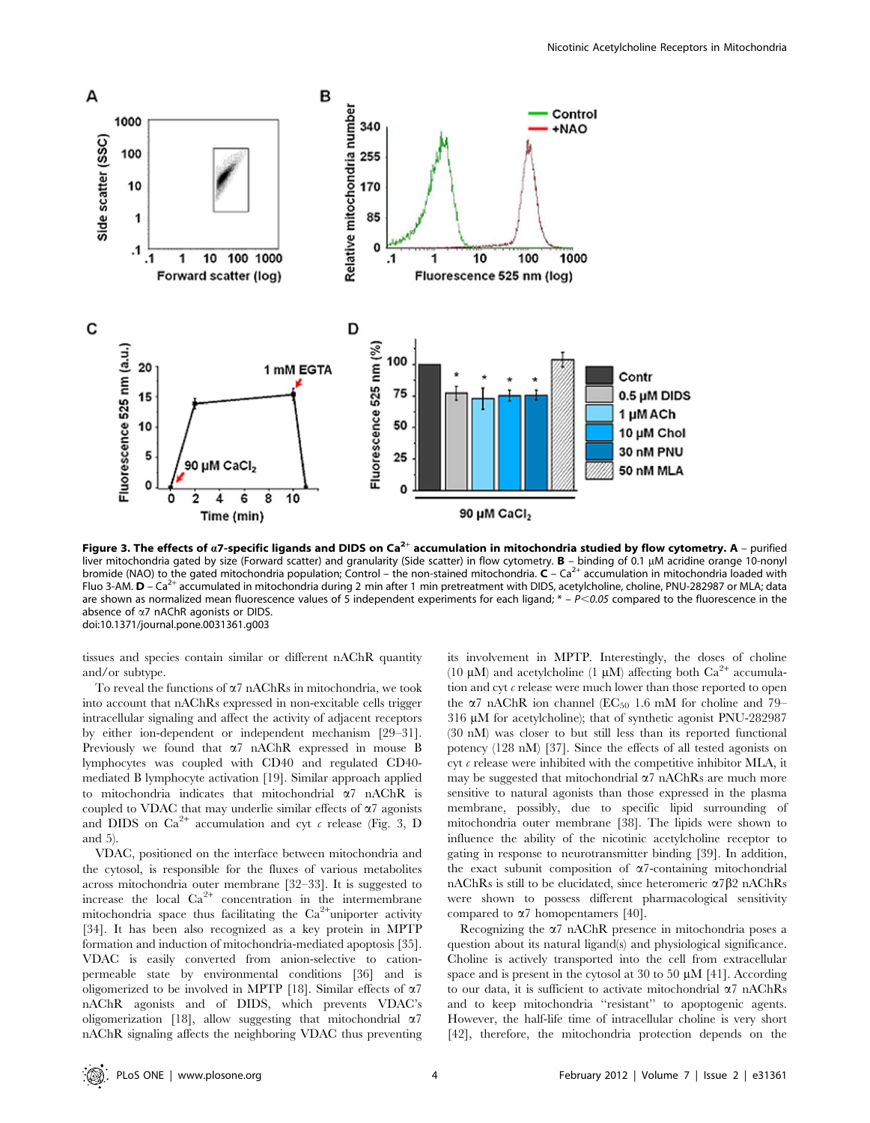

Figure 3. The effects of  $a$ 7-specific ligands and DIDS on  $Ca^{2+}$  accumulation in mitochondria studied by flow cytometry. A - purified liver mitochondria gated by size (Forward scatter) and granularity (Side scatter) in flow cytometry. **B** – binding of 0.1 µM acridine orange 10-nonyl<br>bromide (NAO) to the gated mitochondria population; Control – the non-st Fluo 3-AM.  $D - Ca<sup>2+</sup>$  accumulated in mitochondria during 2 min after 1 min pretreatment with DIDS, acetylcholine, choline, PNU-282987 or MLA; data are shown as normalized mean fluorescence values of 5 independent experiments for each ligand;  $* - P < 0.05$  compared to the fluorescence in the absence of a7 nAChR agonists or DIDS. doi:10.1371/journal.pone.0031361.g003

tissues and species contain similar or different nAChR quantity and/or subtype.

To reveal the functions of  $\alpha$ 7 nAChRs in mitochondria, we took into account that nAChRs expressed in non-excitable cells trigger intracellular signaling and affect the activity of adjacent receptors by either ion-dependent or independent mechanism [29–31]. Previously we found that  $\alpha$ 7 nAChR expressed in mouse B lymphocytes was coupled with CD40 and regulated CD40 mediated B lymphocyte activation [19]. Similar approach applied to mitochondria indicates that mitochondrial a7 nAChR is coupled to VDAC that may underlie similar effects of  $\alpha$ 7 agonists and DIDS on  $Ca^{2+}$  accumulation and cyt c release (Fig. 3, D and 5).

VDAC, positioned on the interface between mitochondria and the cytosol, is responsible for the fluxes of various metabolites across mitochondria outer membrane [32–33]. It is suggested to increase the local  $Ca^{2+}$  concentration in the intermembrane mitochondria space thus facilitating the Ca<sup>2+</sup>uniporter activity [34]. It has been also recognized as a key protein in MPTP formation and induction of mitochondria-mediated apoptosis [35]. VDAC is easily converted from anion-selective to cationpermeable state by environmental conditions [36] and is oligomerized to be involved in MPTP [18]. Similar effects of  $\alpha$ 7 nAChR agonists and of DIDS, which prevents VDAC's oligomerization [18], allow suggesting that mitochondrial  $\alpha$ 7 nAChR signaling affects the neighboring VDAC thus preventing its involvement in MPTP. Interestingly, the doses of choline (10  $\mu$ M) and acetylcholine (1  $\mu$ M) affecting both Ca<sup>2+</sup> accumulation and cyt  $c$  release were much lower than those reported to open the  $\alpha$ 7 nAChR ion channel (EC<sub>50</sub> 1.6 mM for choline and 79– 316 µM for acetylcholine); that of synthetic agonist PNU-282987 (30 nM) was closer to but still less than its reported functional potency (128 nM) [37]. Since the effects of all tested agonists on cyt  $c$  release were inhibited with the competitive inhibitor MLA, it may be suggested that mitochondrial  $\alpha$ 7 nAChRs are much more sensitive to natural agonists than those expressed in the plasma membrane, possibly, due to specific lipid surrounding of mitochondria outer membrane [38]. The lipids were shown to influence the ability of the nicotinic acetylcholine receptor to gating in response to neurotransmitter binding [39]. In addition, the exact subunit composition of  $\alpha$ 7-containing mitochondrial nAChRs is still to be elucidated, since heteromeric  $\alpha$ 7 $\beta$ 2 nAChRs were shown to possess different pharmacological sensitivity compared to  $\alpha$ 7 homopentamers [40].

Recognizing the  $\alpha$ 7 nAChR presence in mitochondria poses a question about its natural ligand(s) and physiological significance. Choline is actively transported into the cell from extracellular space and is present in the cytosol at 30 to 50  $\mu$ M [41]. According to our data, it is sufficient to activate mitochondrial a7 nAChRs and to keep mitochondria ''resistant'' to apoptogenic agents. However, the half-life time of intracellular choline is very short [42], therefore, the mitochondria protection depends on the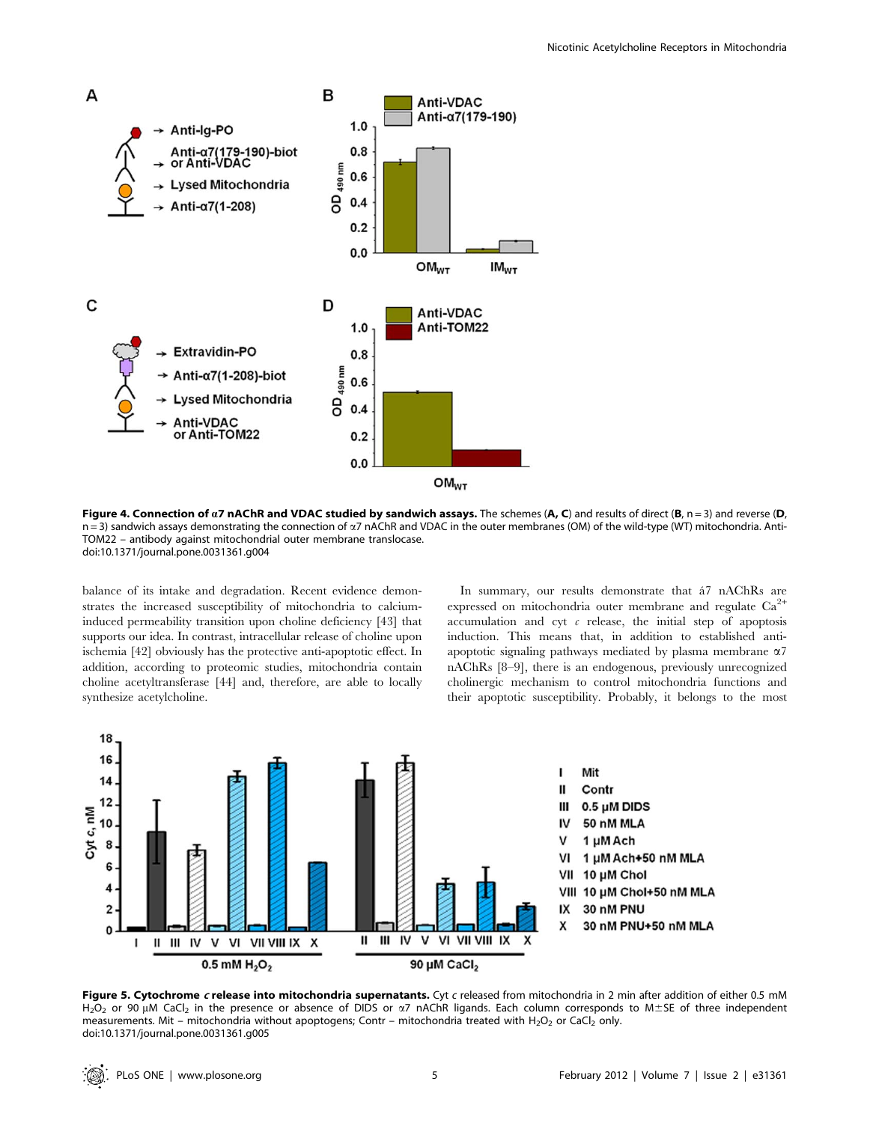

Figure 4. Connection of  $aZ$  nAChR and VDAC studied by sandwich assays. The schemes (A, C) and results of direct (B, n = 3) and reverse (D, n = 3) sandwich assays demonstrating the connection of  $\alpha$ 7 nAChR and VDAC in the outer membranes (OM) of the wild-type (WT) mitochondria. Anti-TOM22 – antibody against mitochondrial outer membrane translocase. doi:10.1371/journal.pone.0031361.g004

balance of its intake and degradation. Recent evidence demonstrates the increased susceptibility of mitochondria to calciuminduced permeability transition upon choline deficiency [43] that supports our idea. In contrast, intracellular release of choline upon ischemia [42] obviously has the protective anti-apoptotic effect. In addition, according to proteomic studies, mitochondria contain choline acetyltransferase [44] and, therefore, are able to locally synthesize acetylcholine.

In summary, our results demonstrate that  $a<sup>7</sup>$  nAChRs are expressed on mitochondria outer membrane and regulate  $Ca^{2+}$ accumulation and cyt  $\epsilon$  release, the initial step of apoptosis induction. This means that, in addition to established antiapoptotic signaling pathways mediated by plasma membrane  $\alpha$ 7 nAChRs [8–9], there is an endogenous, previously unrecognized cholinergic mechanism to control mitochondria functions and their apoptotic susceptibility. Probably, it belongs to the most



Figure 5. Cytochrome c release into mitochondria supernatants. Cyt c released from mitochondria in 2 min after addition of either 0.5 mM H<sub>2</sub>O<sub>2</sub> or 90  $\mu$ M CaCl<sub>2</sub> in the presence or absence of DIDS or  $\alpha$ 7 nAChR ligands. Each column corresponds to M±SE of three independent measurements. Mit – mitochondria without apoptogens; Contr – mitochondria treated with H<sub>2</sub>O<sub>2</sub> or CaCl<sub>2</sub> only. doi:10.1371/journal.pone.0031361.g005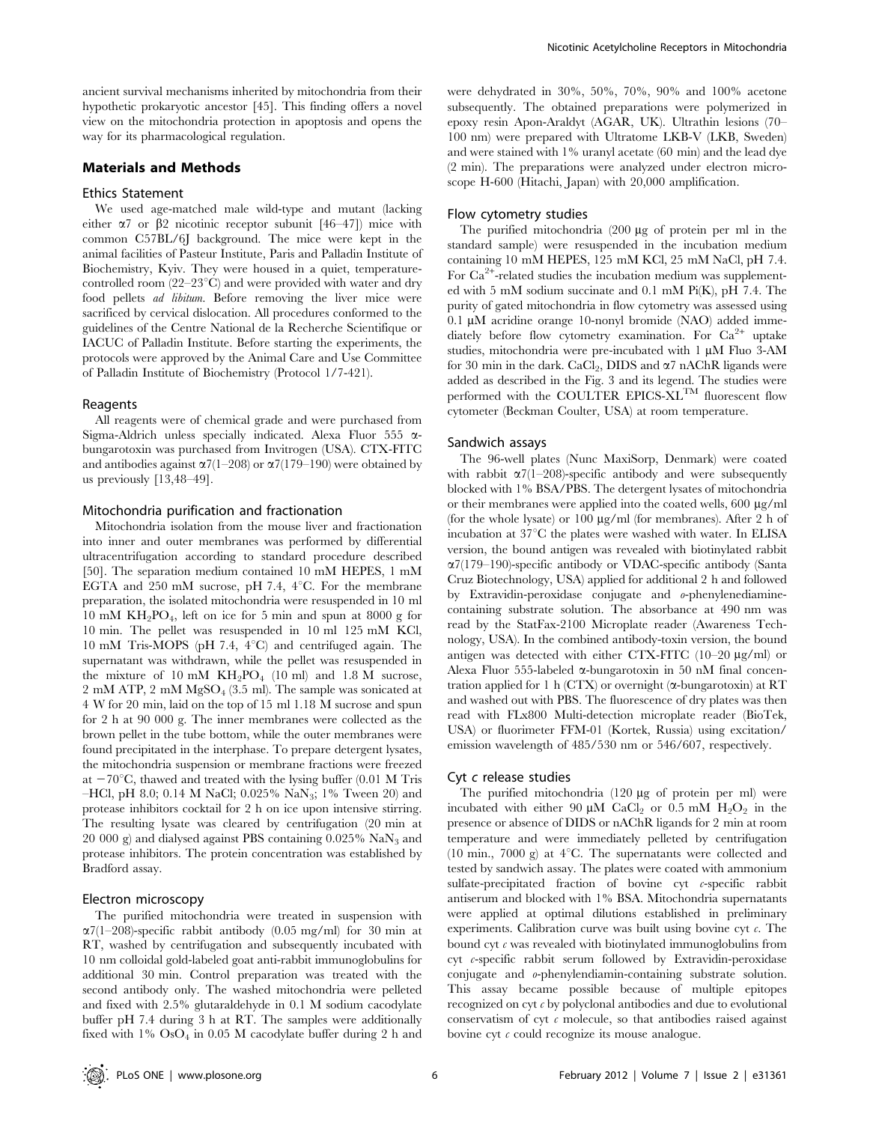ancient survival mechanisms inherited by mitochondria from their hypothetic prokaryotic ancestor [45]. This finding offers a novel view on the mitochondria protection in apoptosis and opens the way for its pharmacological regulation.

# Materials and Methods

#### Ethics Statement

We used age-matched male wild-type and mutant (lacking either  $\alpha$ 7 or  $\beta$ 2 nicotinic receptor subunit [46–47]) mice with common C57BL/6J background. The mice were kept in the animal facilities of Pasteur Institute, Paris and Palladin Institute of Biochemistry, Kyiv. They were housed in a quiet, temperaturecontrolled room  $(22-23^{\circ}\text{C})$  and were provided with water and dry food pellets ad libitum. Before removing the liver mice were sacrificed by cervical dislocation. All procedures conformed to the guidelines of the Centre National de la Recherche Scientifique or IACUC of Palladin Institute. Before starting the experiments, the protocols were approved by the Animal Care and Use Committee of Palladin Institute of Biochemistry (Protocol 1/7-421).

#### Reagents

All reagents were of chemical grade and were purchased from Sigma-Aldrich unless specially indicated. Alexa Fluor 555  $\alpha$ bungarotoxin was purchased from Invitrogen (USA). CTX-FITC and antibodies against  $\alpha$ 7(1–208) or  $\alpha$ 7(179–190) were obtained by us previously [13,48–49].

#### Mitochondria purification and fractionation

Mitochondria isolation from the mouse liver and fractionation into inner and outer membranes was performed by differential ultracentrifugation according to standard procedure described [50]. The separation medium contained 10 mM HEPES, 1 mM EGTA and 250 mM sucrose, pH 7.4,  $4^{\circ}$ C. For the membrane preparation, the isolated mitochondria were resuspended in 10 ml 10 mM  $KH<sub>2</sub>PO<sub>4</sub>$ , left on ice for 5 min and spun at 8000 g for 10 min. The pellet was resuspended in 10 ml 125 mM KCl, 10 mM Tris-MOPS (pH 7.4,  $4^{\circ}$ C) and centrifuged again. The supernatant was withdrawn, while the pellet was resuspended in the mixture of 10 mM  $KH_2PO_4$  (10 ml) and 1.8 M sucrose, 2 mM ATP, 2 mM  $MgSO<sub>4</sub>$  (3.5 ml). The sample was sonicated at 4 W for 20 min, laid on the top of 15 ml 1.18 M sucrose and spun for 2 h at 90 000 g. The inner membranes were collected as the brown pellet in the tube bottom, while the outer membranes were found precipitated in the interphase. To prepare detergent lysates, the mitochondria suspension or membrane fractions were freezed at  $-70^{\circ}$ C, thawed and treated with the lysing buffer (0.01 M Tris –HCl, pH 8.0; 0.14 M NaCl; 0.025% NaN<sub>3</sub>; 1% Tween 20) and protease inhibitors cocktail for 2 h on ice upon intensive stirring. The resulting lysate was cleared by centrifugation (20 min at 20 000 g) and dialysed against PBS containing  $0.025\%$  NaN<sub>3</sub> and protease inhibitors. The protein concentration was established by Bradford assay.

#### Electron microscopy

The purified mitochondria were treated in suspension with  $\alpha$ 7(1–208)-specific rabbit antibody (0.05 mg/ml) for 30 min at RT, washed by centrifugation and subsequently incubated with 10 nm colloidal gold-labeled goat anti-rabbit immunoglobulins for additional 30 min. Control preparation was treated with the second antibody only. The washed mitochondria were pelleted and fixed with 2.5% glutaraldehyde in 0.1 M sodium cacodylate buffer pH 7.4 during 3 h at RT. The samples were additionally fixed with  $1\%$  OsO<sub>4</sub> in 0.05 M cacodylate buffer during 2 h and were dehydrated in 30%, 50%, 70%, 90% and 100% acetone subsequently. The obtained preparations were polymerized in epoxy resin Apon-Araldyt (AGAR, UK). Ultrathin lesions (70– 100 nm) were prepared with Ultratome LKB-V (LKB, Sweden) and were stained with 1% uranyl acetate (60 min) and the lead dye (2 min). The preparations were analyzed under electron microscope H-600 (Hitachi, Japan) with 20,000 amplification.

### Flow cytometry studies

The purified mitochondria  $(200 \mu g)$  of protein per ml in the standard sample) were resuspended in the incubation medium containing 10 mM HEPES, 125 mM KCl, 25 mM NaCl, pH 7.4. For Ca<sup>2+</sup>-related studies the incubation medium was supplemented with 5 mM sodium succinate and 0.1 mM Pi(K), pH 7.4. The purity of gated mitochondria in flow cytometry was assessed using  $0.1 \mu M$  acridine orange 10-nonyl bromide (NAO) added immediately before flow cytometry examination. For  $Ca^{2+}$  uptake studies, mitochondria were pre-incubated with 1 µM Fluo 3-AM for 30 min in the dark. CaCl<sub>2</sub>, DIDS and  $\alpha$ 7 nAChR ligands were added as described in the Fig. 3 and its legend. The studies were performed with the COULTER EPICS-XL<sup>TM</sup> fluorescent flow cytometer (Beckman Coulter, USA) at room temperature.

#### Sandwich assays

The 96-well plates (Nunc MaxiSorp, Denmark) were coated with rabbit  $\alpha$ 7(1–208)-specific antibody and were subsequently blocked with 1% BSA/PBS. The detergent lysates of mitochondria or their membranes were applied into the coated wells,  $600 \mu g/ml$ (for the whole lysate) or 100 mg/ml (for membranes). After 2 h of incubation at  $37^{\circ}$ C the plates were washed with water. In ELISA version, the bound antigen was revealed with biotinylated rabbit a7(179–190)-specific antibody or VDAC-specific antibody (Santa Cruz Biotechnology, USA) applied for additional 2 h and followed by Extravidin-peroxidase conjugate and o-phenylenediaminecontaining substrate solution. The absorbance at 490 nm was read by the StatFax-2100 Microplate reader (Awareness Technology, USA). In the combined antibody-toxin version, the bound antigen was detected with either CTX-FITC  $(10-20 \mu g/ml)$  or Alexa Fluor 555-labeled  $\alpha$ -bungarotoxin in 50 nM final concentration applied for 1 h (CTX) or overnight  $(\alpha$ -bungarotoxin) at RT and washed out with PBS. The fluorescence of dry plates was then read with FLx800 Multi-detection microplate reader (BioTek, USA) or fluorimeter FFM-01 (Kortek, Russia) using excitation/ emission wavelength of 485/530 nm or 546/607, respectively.

#### Cyt c release studies

The purified mitochondria (120 µg of protein per ml) were incubated with either 90  $\mu$ M CaCl<sub>2</sub> or 0.5 mM H<sub>2</sub>O<sub>2</sub> in the presence or absence of DIDS or nAChR ligands for 2 min at room temperature and were immediately pelleted by centrifugation (10 min., 7000 g) at  $4^{\circ}$ C. The supernatants were collected and tested by sandwich assay. The plates were coated with ammonium sulfate-precipitated fraction of bovine cyt c-specific rabbit antiserum and blocked with 1% BSA. Mitochondria supernatants were applied at optimal dilutions established in preliminary experiments. Calibration curve was built using bovine cyt  $\epsilon$ . The bound cyt  $c$  was revealed with biotinylated immunoglobulins from cyt c-specific rabbit serum followed by Extravidin-peroxidase conjugate and o-phenylendiamin-containing substrate solution. This assay became possible because of multiple epitopes recognized on cyt c by polyclonal antibodies and due to evolutional conservatism of cyt  $\epsilon$  molecule, so that antibodies raised against bovine cyt  $\epsilon$  could recognize its mouse analogue.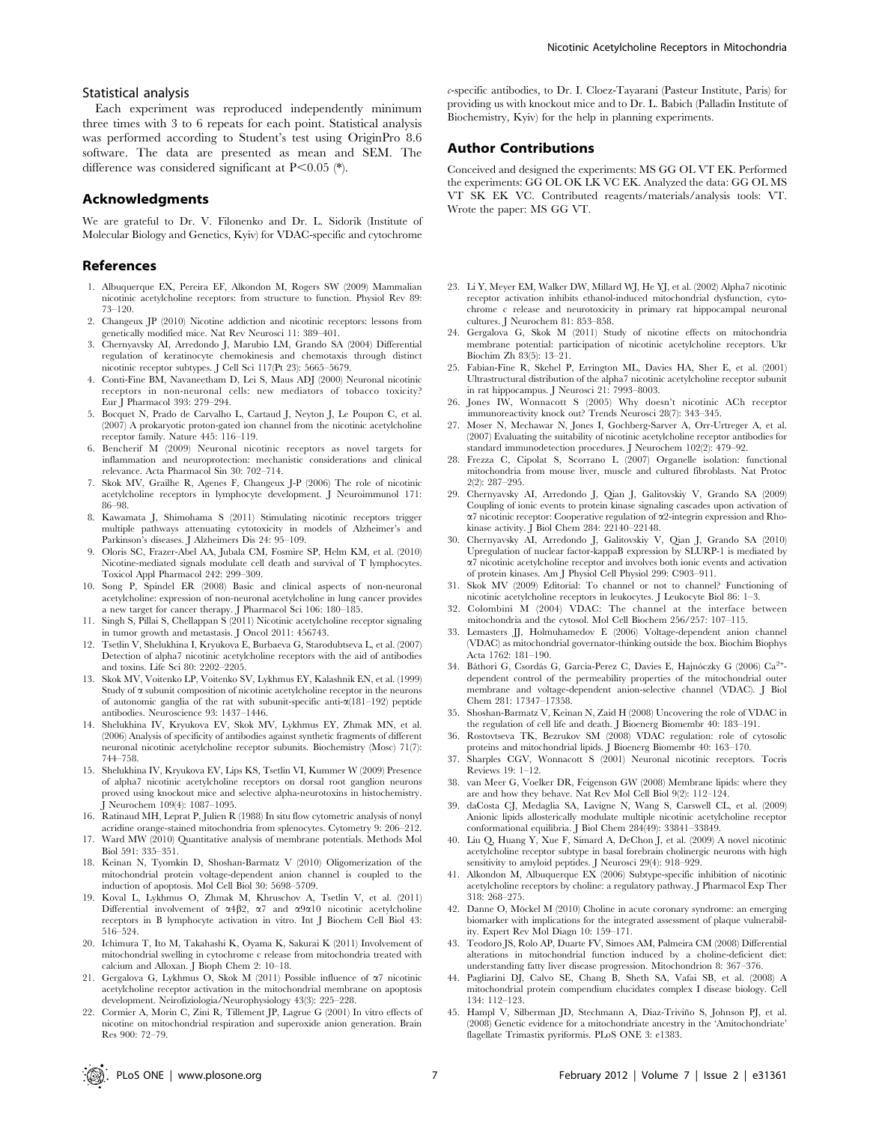#### Statistical analysis

Each experiment was reproduced independently minimum three times with 3 to 6 repeats for each point. Statistical analysis was performed according to Student's test using OriginPro 8.6 software. The data are presented as mean and SEM. The difference was considered significant at  $P<0.05$  (\*).

## Acknowledgments

We are grateful to Dr. V. Filonenko and Dr. L. Sidorik (Institute of Molecular Biology and Genetics, Kyiv) for VDAC-specific and cytochrome

#### References

- 1. Albuquerque EX, Pereira EF, Alkondon M, Rogers SW (2009) Mammalian nicotinic acetylcholine receptors: from structure to function. Physiol Rev 89: 73–120.
- 2. Changeux JP (2010) Nicotine addiction and nicotinic receptors: lessons from genetically modified mice. Nat Rev Neurosci 11: 389–401.
- 3. Chernyavsky AI, Arredondo J, Marubio LM, Grando SA (2004) Differential regulation of keratinocyte chemokinesis and chemotaxis through distinct nicotinic receptor subtypes. J Cell Sci 117(Pt 23): 5665–5679.
- 4. Conti-Fine BM, Navaneetham D, Lei S, Maus ADJ (2000) Neuronal nicotinic receptors in non-neuronal cells: new mediators of tobacco toxicity? Eur J Pharmacol 393: 279–294.
- 5. Bocquet N, Prado de Carvalho L, Cartaud J, Neyton J, Le Poupon C, et al. (2007) A prokaryotic proton-gated ion channel from the nicotinic acetylcholine receptor family. Nature 445: 116–119.
- Bencherif M (2009) Neuronal nicotinic receptors as novel targets for inflammation and neuroprotection: mechanistic considerations and clinical relevance. Acta Pharmacol Sin 30: 702–714.
- 7. Skok MV, Grailhe R, Agenes F, Changeux J-P (2006) The role of nicotinic acetylcholine receptors in lymphocyte development. J Neuroimmunol 171: 86–98.
- 8. Kawamata J, Shimohama S (2011) Stimulating nicotinic receptors trigger multiple pathways attenuating cytotoxicity in models of Alzheimer's and Parkinson's diseases. J Alzheimers Dis 24: 95–109.
- 9. Oloris SC, Frazer-Abel AA, Jubala CM, Fosmire SP, Helm KM, et al. (2010) Nicotine-mediated signals modulate cell death and survival of T lymphocytes. Toxicol Appl Pharmacol 242: 299–309.
- 10. Song P, Spindel ER (2008) Basic and clinical aspects of non-neuronal acetylcholine: expression of non-neuronal acetylcholine in lung cancer provides a new target for cancer therapy. J Pharmacol Sci 106: 180–185.
- 11. Singh S, Pillai S, Chellappan S (2011) Nicotinic acetylcholine receptor signaling in tumor growth and metastasis. J Oncol 2011: 456743.
- 12. Tsetlin V, Shelukhina I, Kryukova E, Burbaeva G, Starodubtseva L, et al. (2007) Detection of alpha7 nicotinic acetylcholine receptors with the aid of antibodies and toxins. Life Sci 80: 2202–2205.
- 13. Skok MV, Voitenko LP, Voitenko SV, Lykhmus EY, Kalashnik EN, et al. (1999) Study of  $\alpha$  subunit composition of nicotinic acetylcholine receptor in the neurons of autonomic ganglia of the rat with subunit-specific anti-a(181–192) peptide antibodies. Neuroscience 93: 1437–1446.
- 14. Shelukhina IV, Kryukova EV, Skok MV, Lykhmus EY, Zhmak MN, et al. (2006) Analysis of specificity of antibodies against synthetic fragments of different neuronal nicotinic acetylcholine receptor subunits. Biochemistry (Mosc) 71(7): 744–758.
- 15. Shelukhina IV, Kryukova EV, Lips KS, Tsetlin VI, Kummer W (2009) Presence of alpha7 nicotinic acetylcholine receptors on dorsal root ganglion neurons proved using knockout mice and selective alpha-neurotoxins in histochemistry. J Neurochem 109(4): 1087–1095.
- 16. Ratinaud MH, Leprat P, Julien R (1988) In situ flow cytometric analysis of nonyl acridine orange-stained mitochondria from splenocytes. Cytometry 9: 206–212.
- 17. Ward MW (2010) Quantitative analysis of membrane potentials. Methods Mol Biol 591: 335–351.
- 18. Keinan N, Tyomkin D, Shoshan-Barmatz V (2010) Oligomerization of the mitochondrial protein voltage-dependent anion channel is coupled to the induction of apoptosis. Mol Cell Biol 30: 5698–5709.
- 19. Koval L, Lykhmus O, Zhmak M, Khruschov A, Tsetlin V, et al. (2011) Differential involvement of  $\alpha$ 4 $\beta$ 2,  $\alpha$ 7 and  $\alpha$ 9 $\alpha$ 10 nicotinic acetylcholine receptors in B lymphocyte activation in vitro. Int J Biochem Cell Biol 43: 516–524.
- 20. Ichimura T, Ito M, Takahashi K, Oyama K, Sakurai K (2011) Involvement of mitochondrial swelling in cytochrome c release from mitochondria treated with calcium and Alloxan. J Bioph Chem 2: 10–18.
- 21. Gergalova G, Lykhmus O, Skok M (2011) Possible influence of a7 nicotinic acetylcholine receptor activation in the mitochondrial membrane on apoptosis development. Neirofiziologia/Neurophysiology 43(3): 225–228.
- 22. Cormier A, Morin C, Zini R, Tillement JP, Lagrue G (2001) In vitro effects of nicotine on mitochondrial respiration and superoxide anion generation. Brain Res 900: 72–79.

c-specific antibodies, to Dr. I. Cloez-Tayarani (Pasteur Institute, Paris) for providing us with knockout mice and to Dr. L. Babich (Palladin Institute of Biochemistry, Kyiv) for the help in planning experiments.

#### Author Contributions

Conceived and designed the experiments: MS GG OL VT EK. Performed the experiments: GG OL OK LK VC EK. Analyzed the data: GG OL MS VT SK EK VC. Contributed reagents/materials/analysis tools: VT. Wrote the paper: MS GG VT.

- 23. Li Y, Meyer EM, Walker DW, Millard WJ, He YJ, et al. (2002) Alpha7 nicotinic receptor activation inhibits ethanol-induced mitochondrial dysfunction, cytochrome c release and neurotoxicity in primary rat hippocampal neuronal cultures. J Neurochem 81: 853–858.
- 24. Gergalova G, Skok M (2011) Study of nicotine effects on mitochondria membrane potential: participation of nicotinic acetylcholine receptors. Ukr Biochim Zh 83(5): 13–21.
- 25. Fabian-Fine R, Skehel P, Errington ML, Davies HA, Sher E, et al. (2001) Ultrastructural distribution of the alpha7 nicotinic acetylcholine receptor subunit in rat hippocampus. J Neurosci 21: 7993–8003.
- 26. Jones IW, Wonnacott S (2005) Why doesn't nicotinic ACh receptor immunoreactivity knock out? Trends Neurosci 28(7): 343–345.
- 27. Moser N, Mechawar N, Jones I, Gochberg-Sarver A, Orr-Urtreger A, et al. (2007) Evaluating the suitability of nicotinic acetylcholine receptor antibodies for standard immunodetection procedures. J Neurochem 102(2): 479–92.
- 28. Frezza C, Cipolat S, Scorrano L (2007) Organelle isolation: functional mitochondria from mouse liver, muscle and cultured fibroblasts. Nat Protoc 2(2): 287–295.
- 29. Chernyavsky AI, Arredondo J, Qian J, Galitovskiy V, Grando SA (2009) Coupling of ionic events to protein kinase signaling cascades upon activation of a7 nicotinic receptor: Cooperative regulation of a2-integrin expression and Rhokinase activity. J Biol Chem 284: 22140-22148.
- 30. Chernyavsky AI, Arredondo J, Galitovskiy V, Qian J, Grando SA (2010) Upregulation of nuclear factor-kappaB expression by SLURP-1 is mediated by a7 nicotinic acetylcholine receptor and involves both ionic events and activation of protein kinases. Am J Physiol Cell Physiol 299: C903–911.
- 31. Skok MV (2009) Editorial: To channel or not to channel? Functioning of nicotinic acetylcholine receptors in leukocytes. J Leukocyte Biol 86: 1–3.
- 32. Colombini M (2004) VDAC: The channel at the interface between mitochondria and the cytosol. Mol Cell Biochem 256/257: 107–115.
- 33. Lemasters JJ, Holmuhamedov E (2006) Voltage-dependent anion channel (VDAC) as mitochondrial governator-thinking outside the box. Biochim Biophys Acta 1762: 181–190.
- 34. Báthori G, Csordás G, Garcia-Perez C, Davies E, Hajnóczky G (2006) Ca<sup>2+</sup>dependent control of the permeability properties of the mitochondrial outer membrane and voltage-dependent anion-selective channel (VDAC). J Biol Chem 281: 17347–17358.
- 35. Shoshan-Barmatz V, Keinan N, Zaid H (2008) Uncovering the role of VDAC in the regulation of cell life and death. J Bioenerg Biomembr 40: 183–191.
- 36. Rostovtseva TK, Bezrukov SM (2008) VDAC regulation: role of cytosolic proteins and mitochondrial lipids. J Bioenerg Biomembr 40: 163–170.
- 37. Sharples CGV, Wonnacott S (2001) Neuronal nicotinic receptors. Tocris Reviews 19: 1–12.
- 38. van Meer G, Voelker DR, Feigenson GW (2008) Membrane lipids: where they are and how they behave. Nat Rev Mol Cell Biol 9(2): 112–124.
- 39. daCosta CJ, Medaglia SA, Lavigne N, Wang S, Carswell CL, et al. (2009) Anionic lipids allosterically modulate multiple nicotinic acetylcholine receptor conformational equilibria. J Biol Chem 284(49): 33841–33849.
- 40. Liu Q, Huang Y, Xue F, Simard A, DeChon J, et al. (2009) A novel nicotinic acetylcholine receptor subtype in basal forebrain cholinergic neurons with high sensitivity to amyloid peptides. J Neurosci 29(4): 918–929.
- 41. Alkondon M, Albuquerque EX (2006) Subtype-specific inhibition of nicotinic acetylcholine receptors by choline: a regulatory pathway. J Pharmacol Exp Ther 318: 268–275.
- 42. Danne O, Möckel M (2010) Choline in acute coronary syndrome: an emerging biomarker with implications for the integrated assessment of plaque vulnerability. Expert Rev Mol Diagn 10: 159–171.
- 43. Teodoro JS, Rolo AP, Duarte FV, Simoes AM, Palmeira CM (2008) Differential alterations in mitochondrial function induced by a choline-deficient diet: understanding fatty liver disease progression. Mitochondrion 8: 367–376.
- 44. Pagliarini DJ, Calvo SE, Chang B, Sheth SA, Vafai SB, et al. (2008) A mitochondrial protein compendium elucidates complex I disease biology. Cell 134: 112–123.
- 45. Hampl V, Silberman JD, Stechmann A, Diaz-Triviño S, Johnson PJ, et al. (2008) Genetic evidence for a mitochondriate ancestry in the 'Amitochondriate' flagellate Trimastix pyriformis. PLoS ONE 3: e1383.